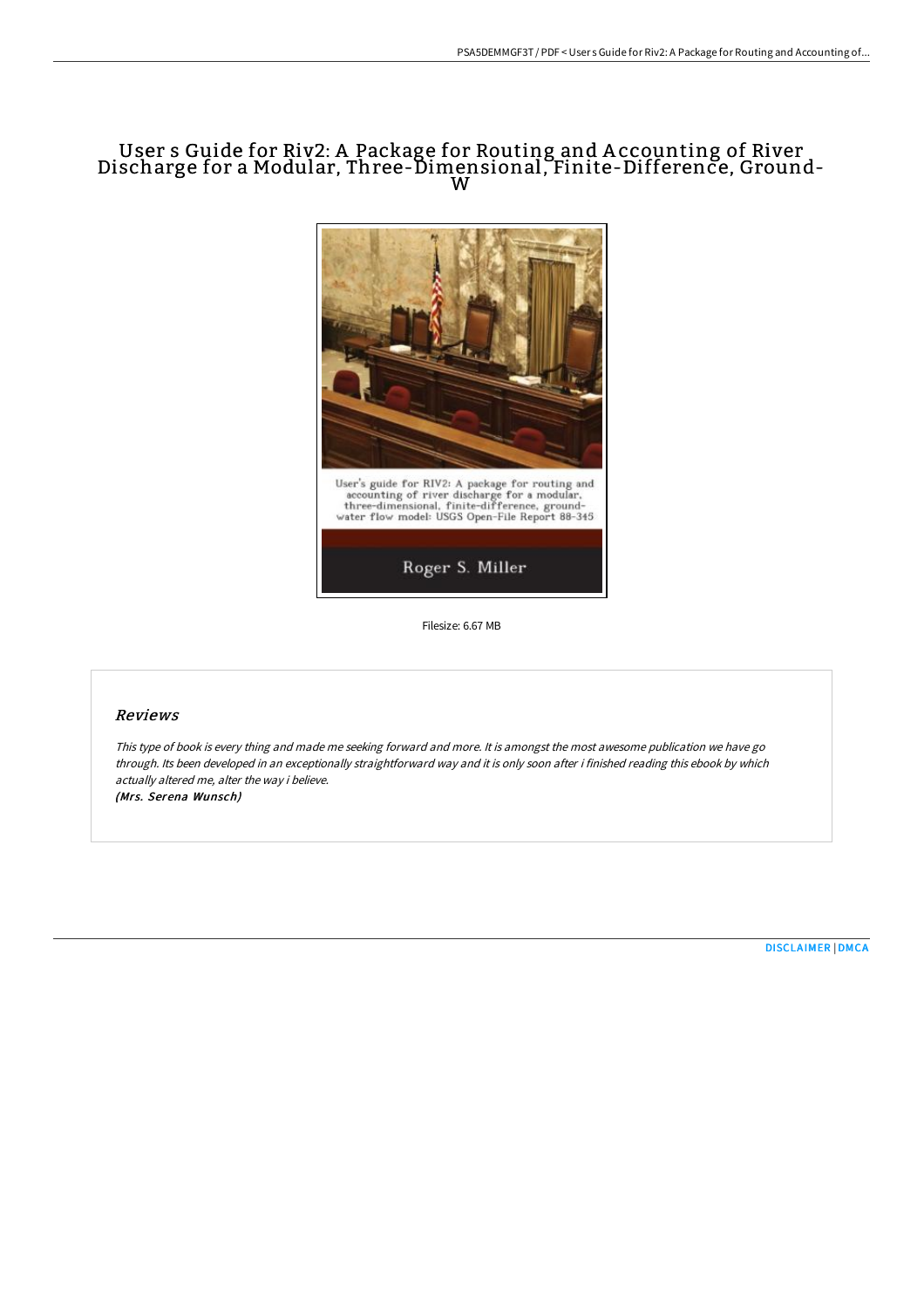## User s Guide for Riv2: A Package for Routing and A ccounting of River Discharge for <sup>a</sup> Modular, Three-Dimensional, Finite-Difference, Ground- <sup>W</sup>



Filesize: 6.67 MB

## Reviews

This type of book is every thing and made me seeking forward and more. It is amongst the most awesome publication we have go through. Its been developed in an exceptionally straightforward way and it is only soon after i finished reading this ebook by which actually altered me, alter the way i believe. (Mrs. Serena Wunsch)

[DISCLAIMER](http://digilib.live/disclaimer.html) | [DMCA](http://digilib.live/dmca.html)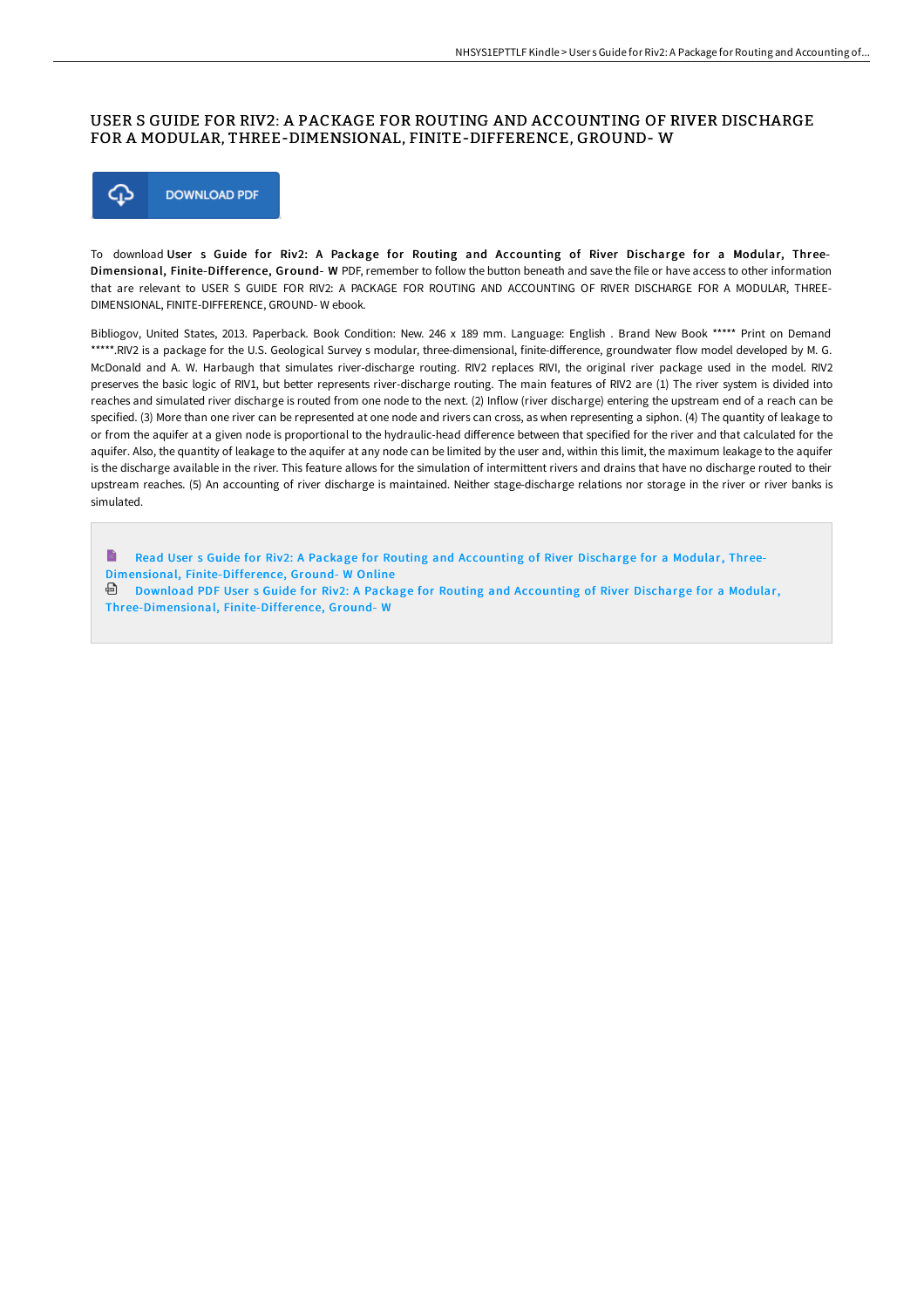## USER S GUIDE FOR RIV2: A PACKAGE FOR ROUTING AND ACCOUNTING OF RIVER DISCHARGE FOR A MODULAR, THREE-DIMENSIONAL, FINITE-DIFFERENCE, GROUND- W



To download User s Guide for Riv2: A Package for Routing and Accounting of River Discharge for a Modular, Three-Dimensional, Finite-Difference, Ground- W PDF, remember to follow the button beneath and save the file or have access to other information that are relevant to USER S GUIDE FOR RIV2: A PACKAGE FOR ROUTING AND ACCOUNTING OF RIVER DISCHARGE FOR A MODULAR, THREE-DIMENSIONAL, FINITE-DIFFERENCE, GROUND- W ebook.

Bibliogov, United States, 2013. Paperback. Book Condition: New. 246 x 189 mm. Language: English . Brand New Book \*\*\*\*\* Print on Demand \*\*\*\*\*.RIV2 is a package for the U.S. Geological Survey s modular, three-dimensional, finite-difference, groundwater flow model developed by M. G. McDonald and A. W. Harbaugh that simulates river-discharge routing. RIV2 replaces RIVI, the original river package used in the model. RIV2 preserves the basic logic of RIV1, but better represents river-discharge routing. The main features of RIV2 are (1) The river system is divided into reaches and simulated river discharge is routed from one node to the next. (2) Inflow (river discharge) entering the upstream end of a reach can be specified. (3) More than one river can be represented at one node and rivers can cross, as when representing a siphon. (4) The quantity of leakage to or from the aquifer at a given node is proportional to the hydraulic-head diEerence between that specified for the river and that calculated for the aquifer. Also, the quantity of leakage to the aquifer at any node can be limited by the user and, within this limit, the maximum leakage to the aquifer is the discharge available in the river. This feature allows for the simulation of intermittent rivers and drains that have no discharge routed to their upstream reaches. (5) An accounting of river discharge is maintained. Neither stage-discharge relations nor storage in the river or river banks is simulated.

B Read User s Guide for Riv2: A Package for Routing and Accounting of River Discharge for a Modular, Three-Dimensional, [Finite-Difference,](http://digilib.live/user-s-guide-for-riv2-a-package-for-routing-and-.html) Ground- W Online

Download PDF User s Guide for Riv2: A Package for Routing and Accounting of River Discharge for a Modular, [Three-Dimensional,](http://digilib.live/user-s-guide-for-riv2-a-package-for-routing-and-.html) Finite-Difference, Ground- W